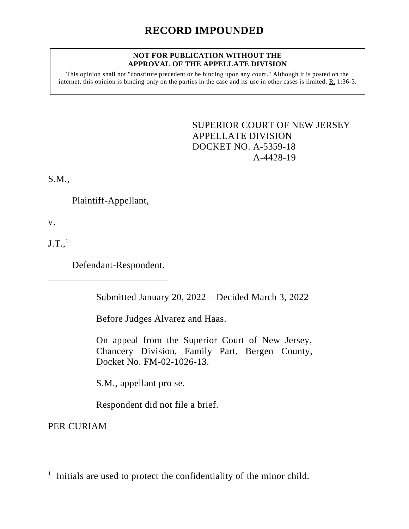## **RECORD IMPOUNDED**

## **NOT FOR PUBLICATION WITHOUT THE APPROVAL OF THE APPELLATE DIVISION**

This opinion shall not "constitute precedent or be binding upon any court." Although it is posted on the internet, this opinion is binding only on the parties in the case and its use in other cases is limited. R. 1:36-3.

> <span id="page-0-0"></span>SUPERIOR COURT OF NEW JERSEY APPELLATE DIVISION DOCKET NO. A-5359-18 A-4428-19

S.M.,

Plaintiff-Appellant,

v.

 $J.T.,<sup>1</sup>$ 

Defendant-Respondent.

Submitted January 20, 2022 – Decided March 3, 2022

Before Judges Alvarez and Haas.

On appeal from the Superior Court of New Jersey, Chancery Division, Family Part, Bergen County, Docket No. FM-02-1026-13.

S.M., appellant pro se.

Respondent did not file a brief.

PER CURIAM

<sup>&</sup>lt;sup>1</sup> Initials are used to protect the confidentiality of the minor child.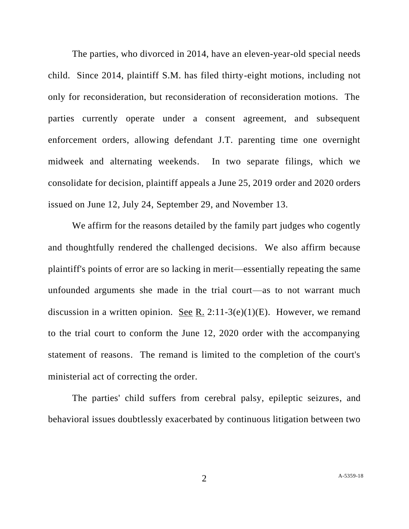The parties, who divorced in 2014, have an eleven-year-old special needs child. Since 2014, plaintiff S.M. has filed thirty-eight motions, including not only for reconsideration, but reconsideration of reconsideration motions. The parties currently operate under a consent agreement, and subsequent enforcement orders, allowing defendant J.T. parenting time one overnight midweek and alternating weekends. In two separate filings, which we consolidate for decision, plaintiff appeals a June 25, 2019 order and 2020 orders issued on June 12, July 24, September 29, and November 13.

We affirm for the reasons detailed by the family part judges who cogently and thoughtfully rendered the challenged decisions. We also affirm because plaintiff's points of error are so lacking in merit—essentially repeating the same unfounded arguments she made in the trial court—as to not warrant much discussion in a written opinion. See R. 2:11-3(e)(1)(E). However, we remand to the trial court to conform the June 12, 2020 order with the accompanying statement of reasons. The remand is limited to the completion of the court's ministerial act of correcting the order.

The parties' child suffers from cerebral palsy, epileptic seizures, and behavioral issues doubtlessly exacerbated by continuous litigation between two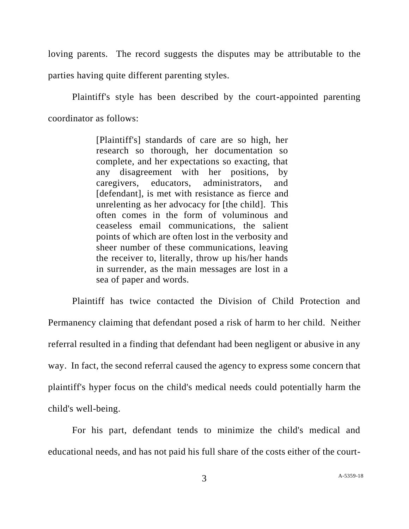loving parents. The record suggests the disputes may be attributable to the parties having quite different parenting styles.

Plaintiff's style has been described by the court-appointed parenting coordinator as follows:

> [Plaintiff's] standards of care are so high, her research so thorough, her documentation so complete, and her expectations so exacting, that any disagreement with her positions, by caregivers, educators, administrators, and [defendant], is met with resistance as fierce and unrelenting as her advocacy for [the child]. This often comes in the form of voluminous and ceaseless email communications, the salient points of which are often lost in the verbosity and sheer number of these communications, leaving the receiver to, literally, throw up his/her hands in surrender, as the main messages are lost in a sea of paper and words.

Plaintiff has twice contacted the Division of Child Protection and Permanency claiming that defendant posed a risk of harm to her child. Neither referral resulted in a finding that defendant had been negligent or abusive in any way. In fact, the second referral caused the agency to express some concern that plaintiff's hyper focus on the child's medical needs could potentially harm the child's well-being.

For his part, defendant tends to minimize the child's medical and educational needs, and has not paid his full share of the costs either of the court-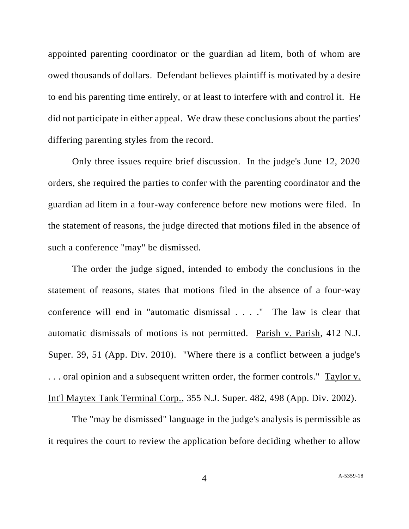appointed parenting coordinator or the guardian ad litem, both of whom are owed thousands of dollars. Defendant believes plaintiff is motivated by a desire to end his parenting time entirely, or at least to interfere with and control it. He did not participate in either appeal. We draw these conclusions about the parties' differing parenting styles from the record.

Only three issues require brief discussion. In the judge's June 12, 2020 orders, she required the parties to confer with the parenting coordinator and the guardian ad litem in a four-way conference before new motions were filed. In the statement of reasons, the judge directed that motions filed in the absence of such a conference "may" be dismissed.

The order the judge signed, intended to embody the conclusions in the statement of reasons, states that motions filed in the absence of a four-way conference will end in "automatic dismissal . . . ." The law is clear that automatic dismissals of motions is not permitted. Parish v. Parish, 412 N.J. Super. 39, 51 (App. Div. 2010). "Where there is a conflict between a judge's . . . oral opinion and a subsequent written order, the former controls." Taylor v. Int'l Maytex Tank Terminal Corp., 355 N.J. Super. 482, 498 (App. Div. 2002).

The "may be dismissed" language in the judge's analysis is permissible as it requires the court to review the application before deciding whether to allow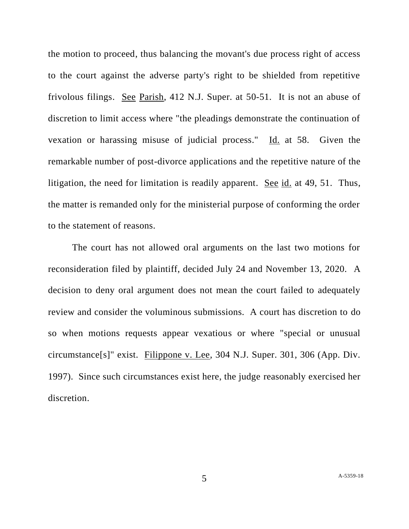the motion to proceed, thus balancing the movant's due process right of access to the court against the adverse party's right to be shielded from repetitive frivolous filings. See Parish, 412 N.J. Super. at 50-51. It is not an abuse of discretion to limit access where "the pleadings demonstrate the continuation of vexation or harassing misuse of judicial process." Id. at 58. Given the remarkable number of post-divorce applications and the repetitive nature of the litigation, the need for limitation is readily apparent. See id. at 49, 51. Thus, the matter is remanded only for the ministerial purpose of conforming the order to the statement of reasons.

The court has not allowed oral arguments on the last two motions for reconsideration filed by plaintiff, decided July 24 and November 13, 2020. A decision to deny oral argument does not mean the court failed to adequately review and consider the voluminous submissions. A court has discretion to do so when motions requests appear vexatious or where "special or unusual circumstance[s]" exist. Filippone v. Lee, 304 N.J. Super. 301, 306 (App. Div. 1997). Since such circumstances exist here, the judge reasonably exercised her discretion.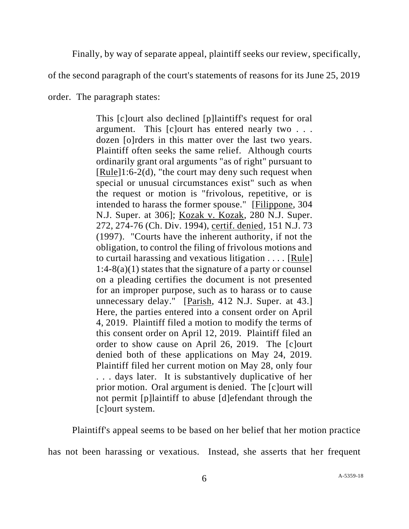Finally, by way of separate appeal, plaintiff seeks our review, specifically,

of the second paragraph of the court's statements of reasons for its June 25, 2019

order. The paragraph states:

This [c]ourt also declined [p]laintiff's request for oral argument. This [c]ourt has entered nearly two . . . dozen [o]rders in this matter over the last two years. Plaintiff often seeks the same relief. Although courts ordinarily grant oral arguments "as of right" pursuant to  $[Rule]1:6-2(d)$ , "the court may deny such request when special or unusual circumstances exist" such as when the request or motion is "frivolous, repetitive, or is intended to harass the former spouse." [Filippone, 304 N.J. Super. at 306]; Kozak v. Kozak, 280 N.J. Super. 272, 274-76 (Ch. Div. 1994), certif. denied, 151 N.J. 73 (1997). "Courts have the inherent authority, if not the obligation, to control the filing of frivolous motions and to curtail harassing and vexatious litigation . . . . [Rule]  $1:4-8(a)(1)$  states that the signature of a party or counsel on a pleading certifies the document is not presented for an improper purpose, such as to harass or to cause unnecessary delay." [Parish, 412 N.J. Super. at 43.] Here, the parties entered into a consent order on April 4, 2019. Plaintiff filed a motion to modify the terms of this consent order on April 12, 2019. Plaintiff filed an order to show cause on April 26, 2019. The [c]ourt denied both of these applications on May 24, 2019. Plaintiff filed her current motion on May 28, only four . . . days later. It is substantively duplicative of her prior motion. Oral argument is denied. The [c]ourt will not permit [p]laintiff to abuse [d]efendant through the [c]ourt system.

Plaintiff's appeal seems to be based on her belief that her motion practice

has not been harassing or vexatious. Instead, she asserts that her frequent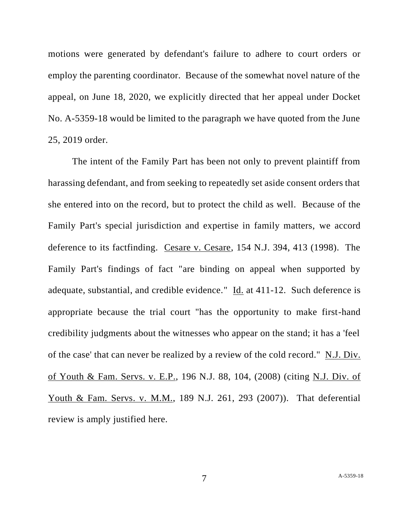motions were generated by defendant's failure to adhere to court orders or employ the parenting coordinator. Because of the somewhat novel nature of the appeal, on June 18, 2020, we explicitly directed that her appeal under Docket No. A-5359-18 would be limited to the paragraph we have quoted from the June 25, 2019 order.

The intent of the Family Part has been not only to prevent plaintiff from harassing defendant, and from seeking to repeatedly set aside consent orders that she entered into on the record, but to protect the child as well. Because of the Family Part's special jurisdiction and expertise in family matters, we accord deference to its factfinding. Cesare v. Cesare, 154 N.J. 394, 413 (1998). The Family Part's findings of fact "are binding on appeal when supported by adequate, substantial, and credible evidence." Id. at 411-12. Such deference is appropriate because the trial court "has the opportunity to make first-hand credibility judgments about the witnesses who appear on the stand; it has a 'feel of the case' that can never be realized by a review of the cold record." N.J. Div. of Youth & Fam. Servs. v. E.P., 196 N.J. 88, 104, (2008) (citing N.J. Div. of Youth & Fam. Servs. v. M.M., 189 N.J. 261, 293 (2007)). That deferential review is amply justified here.

7